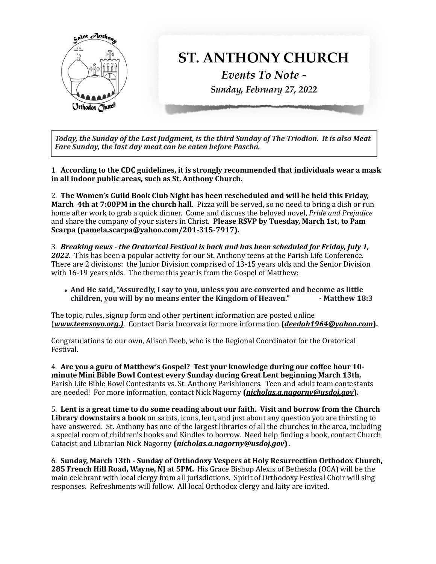

Today, the Sunday of the Last Judgment, is the third Sunday of The Triodion. It is also Meat *Fare Sunday, the last day meat can be eaten before Pascha.*

1. According to the CDC guidelines, it is strongly recommended that individuals wear a mask in all indoor public areas, such as St. Anthony Church.

2. The Women's Guild Book Club Night has been rescheduled and will be held this Friday, **March 4th at 7:00PM in the church hall.** Pizza will be served, so no need to bring a dish or run home after work to grab a quick dinner. Come and discuss the beloved novel, *Pride and Prejudice* and share the company of your sisters in Christ. **Please RSVP by Tuesday, March 1st, to Pam** Scarpa (pamela.scarpa@yahoo.com/201-315-7917).

3. Breaking news - the Oratorical Festival is back and has been scheduled for Friday, July 1, **2022.** This has been a popular activity for our St. Anthony teens at the Parish Life Conference. There are 2 divisions: the Junior Division comprised of  $13-15$  years olds and the Senior Division with 16-19 years olds. The theme this year is from the Gospel of Matthew:

• And He said, "Assuredly, I say to you, unless you are converted and become as little children, you will by no means enter the Kingdom of Heaven." **Full Fig. 18:3** children, you will by no means enter the Kingdom of Heaven."

The topic, rules, signup form and other pertinent information are posted online (*www.teensoyo.org.*). Contact Daria Incorvaia for more information (*[deedah1964@yahoo.com](mailto:deedah1964@yahoo.com)*).

Congratulations to our own, Alison Deeb, who is the Regional Coordinator for the Oratorical Festival. 

4. Are you a guru of Matthew's Gospel? Test your knowledge during our coffee hour 10minute Mini Bible Bowl Contest every Sunday during Great Lent beginning March 13th. Parish Life Bible Bowl Contestants vs. St. Anthony Parishioners. Teen and adult team contestants are needed! For more information, contact Nick Nagorny (*[nicholas.a.nagorny@usdoj.gov](mailto:nicholas.a.nagorny@usdoj.gov)*).

5. Lent is a great time to do some reading about our faith. Visit and borrow from the Church **Library downstairs a book** on saints, icons, lent, and just about any question you are thirsting to have answered. St. Anthony has one of the largest libraries of all the churches in the area, including a special room of children's books and Kindles to borrow. Need help finding a book, contact Church Catacist and Librarian Nick Nagorny (*[nicholas.a.nagorny@usdoj.gov](mailto:nicholas.a.nagorny@usdoj.gov)*).

6. Sunday, March 13th - Sunday of Orthodoxy Vespers at Holy Resurrection Orthodox Church, **285 French Hill Road, Wayne, NJ at 5PM.** His Grace Bishop Alexis of Bethesda (OCA) will be the main celebrant with local clergy from all jurisdictions. Spirit of Orthodoxy Festival Choir will sing responses. Refreshments will follow. All local Orthodox clergy and laity are invited.